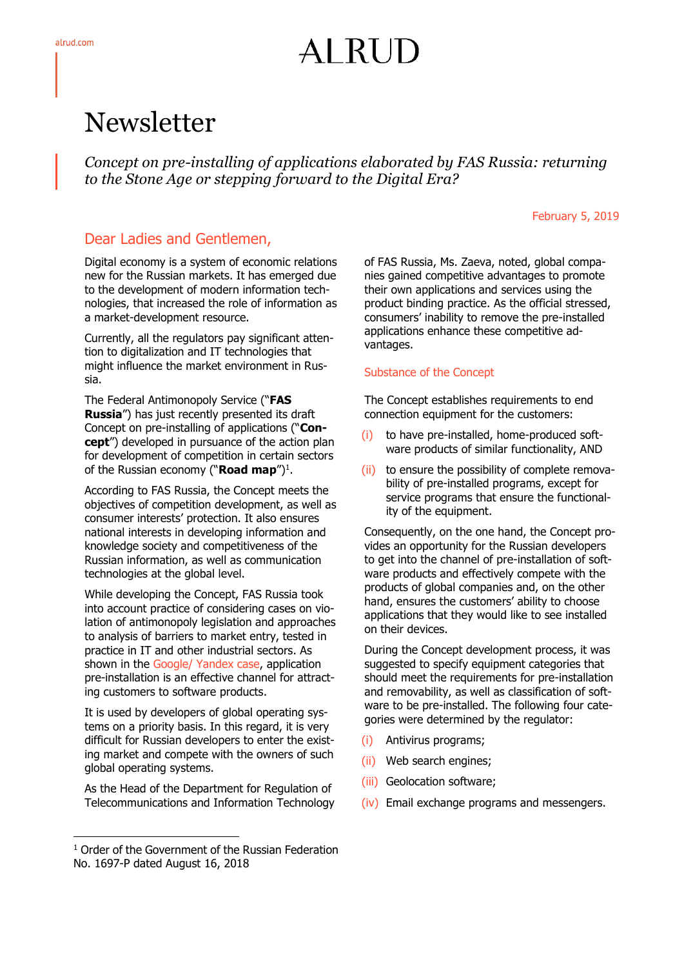# AI RUD

# Newsletter

*Concept on pre-installing of applications elaborated by FAS Russia: returning to the Stone Age or stepping forward to the Digital Era?*

#### February 5, 2019

## Dear Ladies and Gentlemen,

Digital economy is a system of economic relations new for the Russian markets. It has emerged due to the development of modern information technologies, that increased the role of information as a market-development resource.

Currently, all the regulators pay significant attention to digitalization and IT technologies that might influence the market environment in Russia.

The Federal Antimonopoly Service ("**FAS Russia**") has just recently presented its draft Concept on pre-installing of applications ("**Concept**") developed in pursuance of the action plan for development of competition in certain sectors of the Russian economy ("**Road map**")<sup>1</sup>.

According to FAS Russia, the Concept meets the objectives of competition development, as well as consumer interests' protection. It also ensures national interests in developing information and knowledge society and competitiveness of the Russian information, as well as communication technologies at the global level.

While developing the Concept, FAS Russia took into account practice of considering cases on violation of antimonopoly legislation and approaches to analysis of barriers to market entry, tested in practice in IT and other industrial sectors. As shown in the Google/ Yandex case, application pre-installation is an effective channel for attracting customers to software products.

It is used by developers of global operating systems on a priority basis. In this regard, it is very difficult for Russian developers to enter the existing market and compete with the owners of such global operating systems.

As the Head of the Department for Regulation of Telecommunications and Information Technology

-

of FAS Russia, Ms. Zaeva, noted, global companies gained competitive advantages to promote their own applications and services using the product binding practice. As the official stressed, consumers' inability to remove the pre-installed applications enhance these competitive advantages.

### Substance of the Concept

The Concept establishes requirements to end connection equipment for the customers:

- (i) to have pre-installed, home-produced software products of similar functionality, AND
- (ii) to ensure the possibility of complete removability of pre-installed programs, except for service programs that ensure the functionality of the equipment.

Consequently, on the one hand, the Concept provides an opportunity for the Russian developers to get into the channel of pre-installation of software products and effectively compete with the products of global companies and, on the other hand, ensures the customers' ability to choose applications that they would like to see installed on their devices.

During the Concept development process, it was suggested to specify equipment categories that should meet the requirements for pre-installation and removability, as well as classification of software to be pre-installed. The following four categories were determined by the regulator:

- (i) Antivirus programs;
- (ii) Web search engines;
- (iii) Geolocation software;
- (iv) Email exchange programs and messengers.

<sup>&</sup>lt;sup>1</sup> Order of the Government of the Russian Federation No. 1697-P dated August 16, 2018